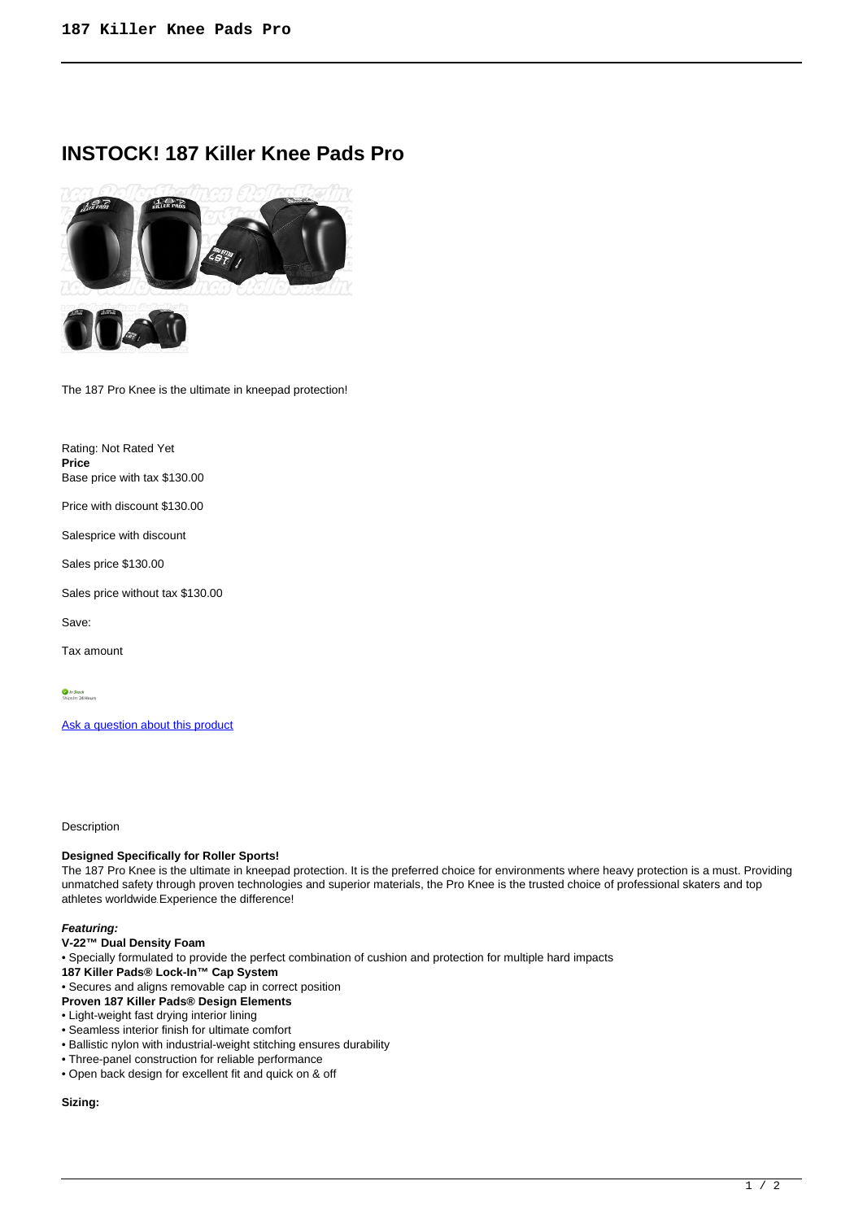# **INSTOCK! 187 Killer Knee Pads Pro**



The 187 Pro Knee is the ultimate in kneepad protection!

Rating: Not Rated Yet **Price**  Base price with tax \$130.00

Price with discount \$130.00

Salesprice with discount

Sales price \$130.00

Sales price without tax \$130.00

Save:

Tax amount

*In Stock*<br>Shins In: 24 Hours

[Ask a question about this product](https://rollerskatin.ca/index.php?option=com_virtuemart&view=productdetails&task=askquestion&virtuemart_product_id=457&virtuemart_category_id=40&tmpl=component)

Description

## **Designed Specifically for Roller Sports!**

The 187 Pro Knee is the ultimate in kneepad protection. It is the preferred choice for environments where heavy protection is a must. Providing unmatched safety through proven technologies and superior materials, the Pro Knee is the trusted choice of professional skaters and top athletes worldwide**.** Experience the difference!

### **Featuring:**

- **V-22™ Dual Density Foam**
- Specially formulated to provide the perfect combination of cushion and protection for multiple hard impacts
- **187 Killer Pads® Lock-In™ Cap System**
- Secures and aligns removable cap in correct position
- **Proven 187 Killer Pads® Design Elements**
- Light-weight fast drying interior lining
- Seamless interior finish for ultimate comfort
- Ballistic nylon with industrial-weight stitching ensures durability
- Three-panel construction for reliable performance
- Open back design for excellent fit and quick on & off

#### **Sizing:**